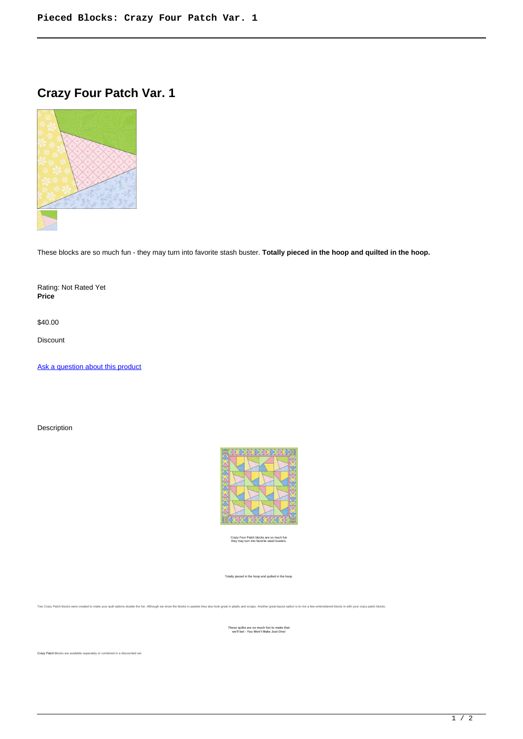## **Crazy Four Patch Var. 1**



These blocks are so much fun - they may turn into favorite stash buster. **Totally pieced in the hoop and quilted in the hoop.**

Rating: Not Rated Yet **Price** 

\$40.00

Discount

[Ask a question about this product](https://www.queenofstitching.com/index.php?option=com_virtuemart&view=productdetails&task=askquestion&virtuemart_product_id=166&virtuemart_category_id=12&tmpl=component)

Description



Crazy Four Patch blocks are so much fun they may turn into favorite stash busters.

Totally pieced in the hoop and quilted in the hoop.

.<br>Two Crazy Patch blocks were created to make your quilt options double the fun. Although we show the blocks in pastels they also look great in plaids and scraps. Another great layout option is to mix a few embroidered blo

**These quilts are so much fun to make that we'll bet - You Won't Make Just One!**

Crazy Patch blocks are available separately or combined in a discounted set.